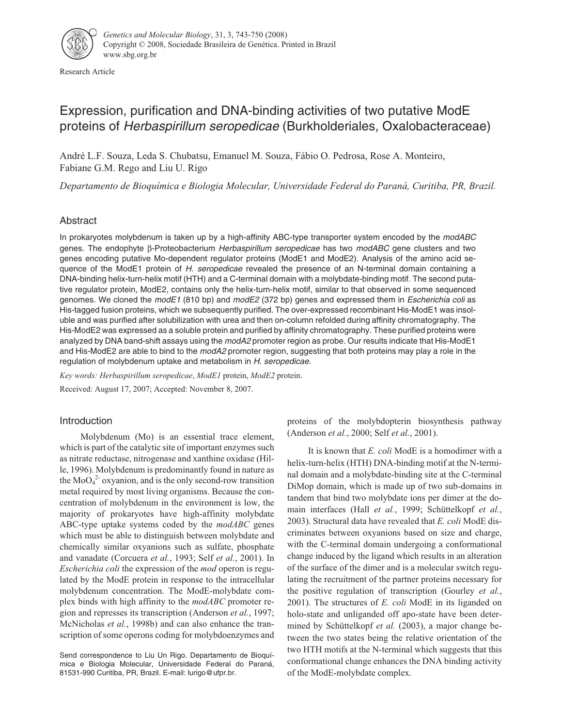

Research Article

# Expression, purification and DNA-binding activities of two putative ModE proteins of Herbaspirillum seropedicae (Burkholderiales, Oxalobacteraceae)

André L.F. Souza, Leda S. Chubatsu, Emanuel M. Souza, Fábio O. Pedrosa, Rose A. Monteiro, Fabiane G.M. Rego and Liu U. Rigo

*Departamento de Bioquímica e Biologia Molecular, Universidade Federal do Paraná, Curitiba, PR, Brazil.*

## Abstract

In prokaryotes molybdenum is taken up by a high-affinity ABC-type transporter system encoded by the modABC genes. The endophyte β-Proteobacterium Herbaspirillum seropedicae has two modABC gene clusters and two genes encoding putative Mo-dependent regulator proteins (ModE1 and ModE2). Analysis of the amino acid sequence of the ModE1 protein of H. seropedicae revealed the presence of an N-terminal domain containing a DNA-binding helix-turn-helix motif (HTH) and a C-terminal domain with a molybdate-binding motif. The second putative regulator protein, ModE2, contains only the helix-turn-helix motif, similar to that observed in some sequenced genomes. We cloned the modE1 (810 bp) and modE2 (372 bp) genes and expressed them in *Escherichia coli* as His-tagged fusion proteins, which we subsequently purified. The over-expressed recombinant His-ModE1 was insoluble and was purified after solubilization with urea and then on-column refolded during affinity chromatography. The His-ModE2 was expressed as a soluble protein and purified by affinity chromatography. These purified proteins were analyzed by DNA band-shift assays using the modA2 promoter region as probe. Our results indicate that His-ModE1 and His-ModE2 are able to bind to the modA2 promoter region, suggesting that both proteins may play a role in the regulation of molybdenum uptake and metabolism in H. seropedicae.

*Key words: Herbaspirillum seropedicae*, *ModE1* protein, *ModE2* protein.

Received: August 17, 2007; Accepted: November 8, 2007.

## Introduction

Molybdenum (Mo) is an essential trace element, which is part of the catalytic site of important enzymes such as nitrate reductase, nitrogenase and xanthine oxidase (Hille, 1996). Molybdenum is predominantly found in nature as the  $\text{MoO}_4^2$  oxyanion, and is the only second-row transition metal required by most living organisms. Because the concentration of molybdenum in the environment is low, the majority of prokaryotes have high-affinity molybdate ABC-type uptake systems coded by the *modABC* genes which must be able to distinguish between molybdate and chemically similar oxyanions such as sulfate, phosphate and vanadate (Corcuera *et al.*, 1993; Self *et al.*, 2001). In *Escherichia coli* the expression of the *mod* operon is regulated by the ModE protein in response to the intracellular molybdenum concentration. The ModE-molybdate complex binds with high affinity to the *modABC* promoter region and represses its transcription (Anderson *et al.*, 1997; McNicholas *et al.*, 1998b) and can also enhance the transcription of some operons coding for molybdoenzymes and

Send correspondence to Liu Un Rigo. Departamento de Bioquímica e Biologia Molecular, Universidade Federal do Paraná, 81531-990 Curitiba, PR, Brazil. E-mail: lurigo@ufpr.br.

proteins of the molybdopterin biosynthesis pathway (Anderson *et al.*, 2000; Self *et al.*, 2001).

It is known that *E. coli* ModE is a homodimer with a helix-turn-helix (HTH) DNA-binding motif at the N-terminal domain and a molybdate-binding site at the C-terminal DiMop domain, which is made up of two sub-domains in tandem that bind two molybdate ions per dimer at the domain interfaces (Hall *et al.*, 1999; Schüttelkopf *et al.*, 2003). Structural data have revealed that *E. coli* ModE discriminates between oxyanions based on size and charge, with the C-terminal domain undergoing a conformational change induced by the ligand which results in an alteration of the surface of the dimer and is a molecular switch regulating the recruitment of the partner proteins necessary for the positive regulation of transcription (Gourley *et al.*, 2001). The structures of *E. coli* ModE in its liganded on holo-state and unliganded off apo-state have been determined by Schüttelkopf *et al.* (2003), a major change between the two states being the relative orientation of the two HTH motifs at the N-terminal which suggests that this conformational change enhances the DNA binding activity of the ModE-molybdate complex.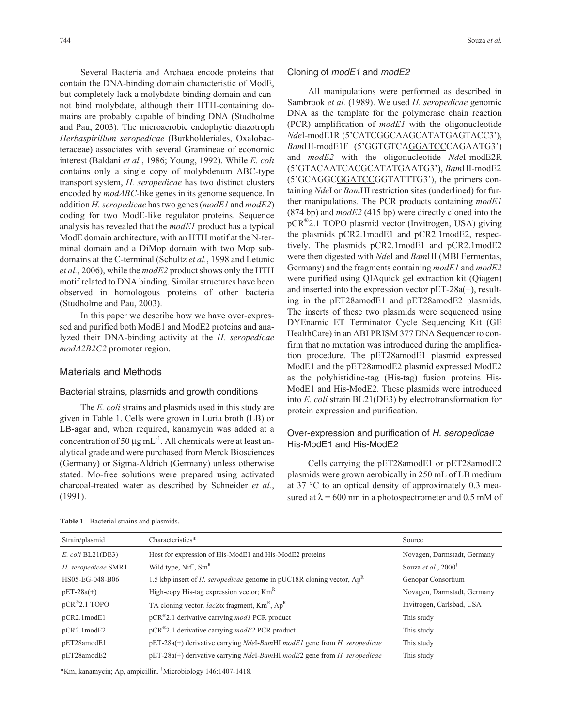Several Bacteria and Archaea encode proteins that contain the DNA-binding domain characteristic of ModE, but completely lack a molybdate-binding domain and cannot bind molybdate, although their HTH-containing domains are probably capable of binding DNA (Studholme and Pau, 2003). The microaerobic endophytic diazotroph *Herbaspirillum seropedicae* (Burkholderiales, Oxalobacteraceae) associates with several Gramineae of economic interest (Baldani *et al.*, 1986; Young, 1992). While *E. coli* contains only a single copy of molybdenum ABC-type transport system, *H. seropedicae* has two distinct clusters encoded by *modABC*-like genes in its genome sequence. In addition *H. seropedicae* has two genes (*modE1* and *modE2*) coding for two ModE-like regulator proteins. Sequence analysis has revealed that the *modE1* product has a typical ModE domain architecture, with an HTH motif at the N-terminal domain and a DiMop domain with two Mop subdomains at the C-terminal (Schultz *et al.*, 1998 and Letunic *et al.*, 2006), while the *modE2* product shows only the HTH motif related to DNA binding. Similar structures have been observed in homologous proteins of other bacteria (Studholme and Pau, 2003).

In this paper we describe how we have over-expressed and purified both ModE1 and ModE2 proteins and analyzed their DNA-binding activity at the *H. seropedicae modA2B2C2* promoter region.

#### Materials and Methods

#### Bacterial strains, plasmids and growth conditions

The *E. coli* strains and plasmids used in this study are given in Table 1. Cells were grown in Luria broth (LB) or LB-agar and, when required, kanamycin was added at a concentration of 50  $\mu$ g mL<sup>-1</sup>. All chemicals were at least analytical grade and were purchased from Merck Biosciences (Germany) or Sigma-Aldrich (Germany) unless otherwise stated. Mo-free solutions were prepared using activated charcoal-treated water as described by Schneider *et al.*, (1991).

#### Cloning of modE1 and modE2

All manipulations were performed as described in Sambrook *et al.* (1989). We used *H. seropedicae* genomic DNA as the template for the polymerase chain reaction (PCR) amplification of *modE1* with the oligonucleotide *Nde*I-modE1R (5'CATCGGCAAGCATATGAGTACC3'), *Bam*HI-modE1F (5'GGTGTCAGGATCCCAGAATG3') and *modE2* with the oligonucleotide *Nde*I-modE2R (5'GTACAATCACGCATATGAATG3'), *Bam*HI-modE2 (5'GCAGGCGGATCCGGTATTTG3'), the primers containing *Nde*I or *Bam*HI restriction sites (underlined) for further manipulations. The PCR products containing *modE1* (874 bp) and *modE2* (415 bp) were directly cloned into the pCR®2.1 TOPO plasmid vector (Invitrogen, USA) giving the plasmids pCR2.1modE1 and pCR2.1modE2, respectively. The plasmids pCR2.1modE1 and pCR2.1modE2 were then digested with *Nde*I and *Bam*HI (MBI Fermentas, Germany) and the fragments containing *modE1* and *modE2* were purified using QIAquick gel extraction kit (Qiagen) and inserted into the expression vector pET-28a(+), resulting in the pET28amodE1 and pET28amodE2 plasmids. The inserts of these two plasmids were sequenced using DYEnamic ET Terminator Cycle Sequencing Kit (GE HealthCare) in an ABI PRISM 377 DNA Sequencer to confirm that no mutation was introduced during the amplification procedure. The pET28amodE1 plasmid expressed ModE1 and the pET28amodE2 plasmid expressed ModE2 as the polyhistidine-tag (His-tag) fusion proteins His-ModE1 and His-ModE2. These plasmids were introduced into *E. coli* strain BL21(DE3) by electrotransformation for protein expression and purification.

## Over-expression and purification of H. seropedicae His-ModE1 and His-ModE2

Cells carrying the pET28amodE1 or pET28amodE2 plasmids were grown aerobically in 250 mL of LB medium at 37 °C to an optical density of approximately 0.3 measured at  $\lambda$  = 600 nm in a photospectrometer and 0.5 mM of

| Strain/plasmid          | Characteristics*                                                                | Source                         |
|-------------------------|---------------------------------------------------------------------------------|--------------------------------|
| $E.$ coli BL21(DE3)     | Host for expression of His-ModE1 and His-ModE2 proteins                         | Novagen, Darmstadt, Germany    |
| H. seropedicae SMR1     | Wild type, $Nif^+$ , $Sm^R$                                                     | Souza et al., $2000^{\dagger}$ |
| HS05-EG-048-B06         | 1.5 kbp insert of <i>H. seropedicae</i> genome in pUC18R cloning vector, $Ap^R$ | Genopar Consortium             |
| $pET-28a(+)$            | High-copy His-tag expression vector; Km <sup>R</sup>                            | Novagen, Darmstadt, Germany    |
| $pCR^{\otimes}2.1$ TOPO | TA cloning vector, $lacZ\alpha$ fragment, $Km^R$ , $Ap^R$                       | Invitrogen, Carlsbad, USA      |
| pCR2.1modE1             | $pCR^{\otimes}$ 2.1 derivative carrying <i>mod1</i> PCR product                 | This study                     |
| pCR2.1modE2             | $pCR^*2.1$ derivative carrying modE2 PCR product                                | This study                     |
| pET28amodE1             | pET-28a(+) derivative carrying NdeI-BamHI modE1 gene from H. seropedicae        | This study                     |
| pET28amodE2             | pET-28a(+) derivative carrying NdeI-BamHI modE2 gene from H. seropedicae        | This study                     |

**Table 1** - Bacterial strains and plasmids.

\*Km, kanamycin; Ap, ampicillin. † Microbiology 146:1407-1418.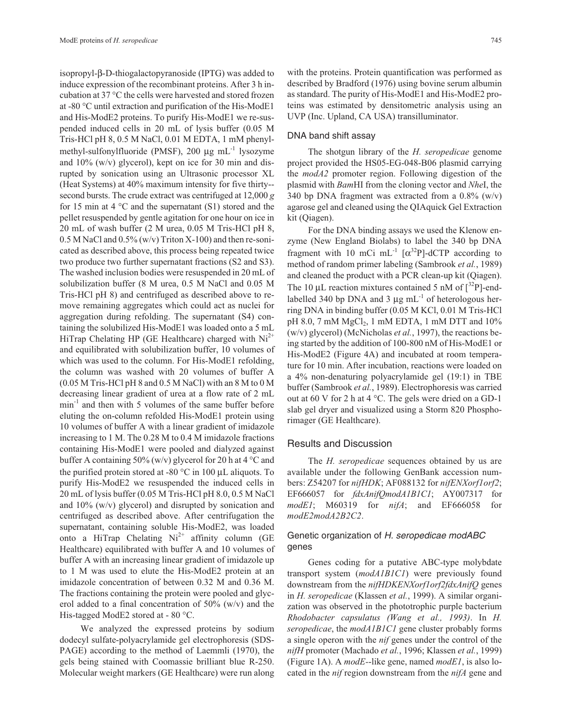isopropyl-β-D-thiogalactopyranoside (IPTG) was added to induce expression of the recombinant proteins. After 3 h incubation at 37 °C the cells were harvested and stored frozen at -80 °C until extraction and purification of the His-ModE1 and His-ModE2 proteins. To purify His-ModE1 we re-suspended induced cells in 20 mL of lysis buffer (0.05 M Tris-HCl pH 8, 0.5 M NaCl, 0.01 M EDTA, 1 mM phenylmethyl-sulfonylfluoride (PMSF), 200  $\mu$ g mL<sup>-1</sup> lysozyme and 10% (w/v) glycerol), kept on ice for 30 min and disrupted by sonication using an Ultrasonic processor XL (Heat Systems) at 40% maximum intensity for five thirty- second bursts. The crude extract was centrifuged at 12,000 *g* for 15 min at 4  $\rm{°C}$  and the supernatant (S1) stored and the pellet resuspended by gentle agitation for one hour on ice in 20 mL of wash buffer (2 M urea, 0.05 M Tris-HCl pH 8,  $0.5$  M NaCl and  $0.5\%$  (w/v) Triton X-100) and then re-sonicated as described above, this process being repeated twice two produce two further supernatant fractions (S2 and S3). The washed inclusion bodies were resuspended in 20 mL of solubilization buffer (8 M urea, 0.5 M NaCl and 0.05 M Tris-HCl pH 8) and centrifuged as described above to remove remaining aggregates which could act as nuclei for aggregation during refolding. The supernatant (S4) containing the solubilized His-ModE1 was loaded onto a 5 mL HiTrap Chelating HP (GE Healthcare) charged with  $Ni<sup>2+</sup>$ and equilibrated with solubilization buffer, 10 volumes of which was used to the column. For His-ModE1 refolding, the column was washed with 20 volumes of buffer A (0.05 M Tris-HCl pH 8 and 0.5 M NaCl) with an 8 M to 0 M decreasing linear gradient of urea at a flow rate of 2 mL  $min^{-1}$  and then with 5 volumes of the same buffer before eluting the on-column refolded His-ModE1 protein using 10 volumes of buffer A with a linear gradient of imidazole increasing to 1 M. The 0.28 M to 0.4 M imidazole fractions containing His-ModE1 were pooled and dialyzed against buffer A containing 50% (w/v) glycerol for 20 h at 4  $\degree$ C and the purified protein stored at -80  $^{\circ}$ C in 100 μL aliquots. To purify His-ModE2 we resuspended the induced cells in 20 mL of lysis buffer (0.05 M Tris-HCl pH 8.0, 0.5 M NaCl and 10% (w/v) glycerol) and disrupted by sonication and centrifuged as described above. After centrifugation the supernatant, containing soluble His-ModE2, was loaded onto a HiTrap Chelating  $Ni^{2+}$  affinity column (GE Healthcare) equilibrated with buffer A and 10 volumes of buffer A with an increasing linear gradient of imidazole up to 1 M was used to elute the His-ModE2 protein at an imidazole concentration of between 0.32 M and 0.36 M. The fractions containing the protein were pooled and glycerol added to a final concentration of  $50\%$  (w/v) and the His-tagged ModE2 stored at - 80 °C.

We analyzed the expressed proteins by sodium dodecyl sulfate-polyacrylamide gel electrophoresis (SDS-PAGE) according to the method of Laemmli (1970), the gels being stained with Coomassie brilliant blue R-250. Molecular weight markers (GE Healthcare) were run along with the proteins. Protein quantification was performed as described by Bradford (1976) using bovine serum albumin as standard. The purity of His-ModE1 and His-ModE2 proteins was estimated by densitometric analysis using an UVP (Inc. Upland, CA USA) transilluminator.

## DNA band shift assay

The shotgun library of the *H. seropedicae* genome project provided the HS05-EG-048-B06 plasmid carrying the *modA2* promoter region. Following digestion of the plasmid with *Bam*HI from the cloning vector and *Nhe*I, the 340 bp DNA fragment was extracted from a  $0.8\%$  (w/v) agarose gel and cleaned using the QIAquick Gel Extraction kit (Qiagen).

For the DNA binding assays we used the Klenow enzyme (New England Biolabs) to label the 340 bp DNA fragment with 10 mCi mL<sup>-1</sup>  $\lceil \alpha^{32}P \rceil$ -dCTP according to method of random primer labeling (Sambrook *et al.*, 1989) and cleaned the product with a PCR clean-up kit (Qiagen). The 10  $\mu$ L reaction mixtures contained 5 nM of  $\int^{32}P$ ]-endlabelled 340 bp DNA and 3  $\mu$ g mL<sup>-1</sup> of heterologous herring DNA in binding buffer (0.05 M KCl, 0.01 M Tris-HCl pH 8.0, 7 mM MgCl<sub>2</sub>, 1 mM EDTA, 1 mM DTT and 10% (w/v) glycerol) (McNicholas *et al.*, 1997), the reactions being started by the addition of 100-800 nM of His-ModE1 or His-ModE2 (Figure 4A) and incubated at room temperature for 10 min. After incubation, reactions were loaded on a 4% non-denaturing polyacrylamide gel (19:1) in TBE buffer (Sambrook *et al.*, 1989). Electrophoresis was carried out at 60 V for 2 h at 4 °C. The gels were dried on a GD-1 slab gel dryer and visualized using a Storm 820 Phosphorimager (GE Healthcare).

## Results and Discussion

The *H. seropedicae* sequences obtained by us are available under the following GenBank accession numbers: Z54207 for *nifHDK*; AF088132 for *nifENXorf1orf2*; EF666057 for *fdxAnifQmodA1B1C1*; AY007317 for *modE1*; M60319 for *nifA*; and EF666058 for *modE2modA2B2C2*.

## Genetic organization of H. seropedicae modABC genes

Genes coding for a putative ABC-type molybdate transport system (*modA1B1C1*) were previously found downstream from the *nifHDKENXorf1orf2fdxAnifQ* genes in *H. seropedicae* (Klassen *et al.*, 1999). A similar organization was observed in the phototrophic purple bacterium *Rhodobacter capsulatus (Wang et al., 1993)*. In *H. seropedicae*, the *modA1B1C1* gene cluster probably forms a single operon with the *nif* genes under the control of the *nifH* promoter (Machado *et al.*, 1996; Klassen *et al.*, 1999) (Figure 1A). A *modE-*-like gene, named *modE1*, is also located in the *nif* region downstream from the *nifA* gene and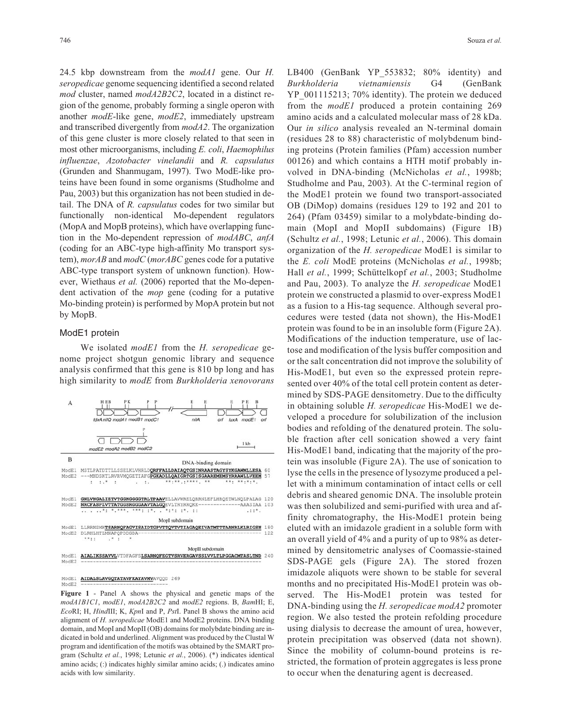24.5 kbp downstream from the *modA1* gene. Our *H. seropedicae* genome sequencing identified a second related *mod* cluster, named *modA2B2C2*, located in a distinct region of the genome, probably forming a single operon with another *modE*-like gene, *modE2*, immediately upstream and transcribed divergently from *modA2*. The organization of this gene cluster is more closely related to that seen in most other microorganisms, including *E. coli*, *Haemophilus influenzae*, *Azotobacter vinelandii* and *R. capsulatus* (Grunden and Shanmugam, 1997). Two ModE-like proteins have been found in some organisms (Studholme and Pau, 2003) but this organization has not been studied in detail. The DNA of *R. capsulatus* codes for two similar but functionally non-identical Mo-dependent regulators (MopA and MopB proteins), which have overlapping function in the Mo-dependent repression of *modABC*, *anfA* (coding for an ABC-type high-affinity Mo transport system), *morAB* and *modC* (*morABC* genes code for a putative ABC-type transport system of unknown function). However, Wiethaus *et al.* (2006) reported that the Mo-dependent activation of the *mop* gene (coding for a putative Mo-binding protein) is performed by MopA protein but not by MopB.

#### ModE1 protein

We isolated *modE1* from the *H. seropedicae* genome project shotgun genomic library and sequence analysis confirmed that this gene is 810 bp long and has high similarity to *modE* from *Burkholderia xenovorans*



AIDALSLAVGQTATAVFKAYAVMVAVQQD 269 ModE1<br>ModE2

**Figure 1** - Panel A shows the physical and genetic maps of the *modA1B1C1*, *modE1*, *modA2B2C2* and *modE2* regions. B, *Bam*HI; E, *Eco*RI; H, *Hind*III; K, *Kpn*I and P, *Pst*I. Panel B shows the amino acid alignment of *H. seropedicae* ModE1 and ModE2 proteins. DNA binding domain, and MopI and MopII (OB) domains for molybdate binding are indicated in bold and underlined. Alignment was produced by the Clustal W program and identification of the motifs was obtained by the SMART program (Schultz *et al.*, 1998; Letunic *et al.*, 2006). (\*) indicates identical amino acids; (:) indicates highly similar amino acids; (.) indicates amino acids with low similarity.

LB400 (GenBank YP 553832; 80% identity) and *Burkholderia vietnamiensis* G4 (GenBank YP\_001115213; 70% identity). The protein we deduced from the *modE1* produced a protein containing 269 amino acids and a calculated molecular mass of 28 kDa. Our *in silico* analysis revealed an N-terminal domain (residues 28 to 88) characteristic of molybdenum binding proteins (Protein families (Pfam) accession number 00126) and which contains a HTH motif probably involved in DNA-binding (McNicholas *et al.*, 1998b; Studholme and Pau, 2003). At the C-terminal region of the ModE1 protein we found two transport-associated OB (DiMop) domains (residues 129 to 192 and 201 to 264) (Pfam 03459) similar to a molybdate-binding domain (MopI and MopII subdomains) (Figure 1B) (Schultz *et al.*, 1998; Letunic *et al.*, 2006). This domain organization of the *H. seropedicae* ModE1 is similar to the *E. coli* ModE proteins (McNicholas *et al.*, 1998b; Hall *et al.*, 1999; Schüttelkopf *et al.*, 2003; Studholme and Pau, 2003). To analyze the *H. seropedicae* ModE1 protein we constructed a plasmid to over-express ModE1 as a fusion to a His-tag sequence. Although several procedures were tested (data not shown), the His-ModE1 protein was found to be in an insoluble form (Figure 2A). Modifications of the induction temperature, use of lactose and modification of the lysis buffer composition and or the salt concentration did not improve the solubility of His-ModE1, but even so the expressed protein represented over 40% of the total cell protein content as determined by SDS-PAGE densitometry. Due to the difficulty in obtaining soluble *H. seropedicae* His-ModE1 we developed a procedure for solubilization of the inclusion bodies and refolding of the denatured protein. The soluble fraction after cell sonication showed a very faint His-ModE1 band, indicating that the majority of the protein was insoluble (Figure 2A). The use of sonication to lyse the cells in the presence of lysozyme produced a pellet with a minimum contamination of intact cells or cell debris and sheared genomic DNA. The insoluble protein was then solubilized and semi-purified with urea and affinity chromatography, the His-ModE1 protein being eluted with an imidazole gradient in a soluble form with an overall yield of 4% and a purity of up to 98% as determined by densitometric analyses of Coomassie-stained SDS-PAGE gels (Figure 2A). The stored frozen imidazole aliquots were shown to be stable for several months and no precipitated His-ModE1 protein was observed. The His-ModE1 protein was tested for DNA-binding using the *H. seropedicae modA2* promoter region. We also tested the protein refolding procedure using dialysis to decrease the amount of urea, however, protein precipitation was observed (data not shown). Since the mobility of column-bound proteins is restricted, the formation of protein aggregates is less prone to occur when the denaturing agent is decreased.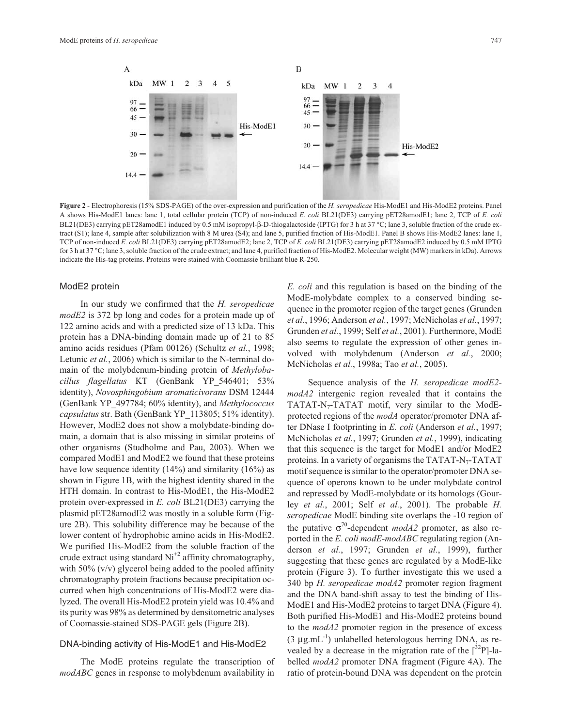

**Figure 2** - Electrophoresis (15% SDS-PAGE) of the over-expression and purification of the *H. seropedicae* His-ModE1 and His-ModE2 proteins. Panel A shows His-ModE1 lanes: lane 1, total cellular protein (TCP) of non-induced *E. coli* BL21(DE3) carrying pET28amodE1; lane 2, TCP of *E. coli* BL21(DE3) carrying pET28amodE1 induced by 0.5 mM isopropyl-β-D-thiogalactoside (IPTG) for 3 h at 37 °C; lane 3, soluble fraction of the crude extract (S1); lane 4, sample after solubilization with 8 M urea (S4); and lane 5, purified fraction of His-ModE1. Panel B shows His-ModE2 lanes: lane 1, TCP of non-induced *E. coli* BL21(DE3) carrying pET28amodE2; lane 2, TCP of *E. coli* BL21(DE3) carrying pET28amodE2 induced by 0.5 mM IPTG for 3 h at 37 °C; lane 3, soluble fraction of the crude extract; and lane 4, purified fraction of His-ModE2. Molecular weight (MW) markers in kDa). Arrows indicate the His-tag proteins. Proteins were stained with Coomassie brilliant blue R-250.

## ModE2 protein

In our study we confirmed that the *H. seropedicae modE2* is 372 bp long and codes for a protein made up of 122 amino acids and with a predicted size of 13 kDa. This protein has a DNA-binding domain made up of 21 to 85 amino acids residues (Pfam 00126) (Schultz *et al.*, 1998; Letunic *et al.*, 2006) which is similar to the N-terminal domain of the molybdenum-binding protein of *Methylobacillus flagellatus* KT (GenBank YP\_546401; 53% identity), *Novosphingobium aromaticivorans* DSM 12444 (GenBank YP\_497784; 60% identity), and *Methylococcus capsulatus* str. Bath (GenBank YP\_113805; 51% identity). However, ModE2 does not show a molybdate-binding domain, a domain that is also missing in similar proteins of other organisms (Studholme and Pau, 2003). When we compared ModE1 and ModE2 we found that these proteins have low sequence identity (14%) and similarity (16%) as shown in Figure 1B, with the highest identity shared in the HTH domain. In contrast to His-ModE1, the His-ModE2 protein over-expressed in *E. coli* BL21(DE3) carrying the plasmid pET28amodE2 was mostly in a soluble form (Figure 2B). This solubility difference may be because of the lower content of hydrophobic amino acids in His-ModE2. We purified His-ModE2 from the soluble fraction of the crude extract using standard  $Ni<sup>+2</sup>$  affinity chromatography, with  $50\%$  (v/v) glycerol being added to the pooled affinity chromatography protein fractions because precipitation occurred when high concentrations of His-ModE2 were dialyzed. The overall His-ModE2 protein yield was 10.4% and its purity was 98% as determined by densitometric analyses of Coomassie-stained SDS-PAGE gels (Figure 2B).

#### DNA-binding activity of His-ModE1 and His-ModE2

The ModE proteins regulate the transcription of *modABC* genes in response to molybdenum availability in

*E. coli* and this regulation is based on the binding of the ModE-molybdate complex to a conserved binding sequence in the promoter region of the target genes (Grunden *et al.*, 1996; Anderson *et al.*, 1997; McNicholas *et al.*, 1997; Grunden *et al.*, 1999; Self *et al.*, 2001). Furthermore, ModE also seems to regulate the expression of other genes involved with molybdenum (Anderson *et al.*, 2000; McNicholas *et al.*, 1998a; Tao *et al.*, 2005).

Sequence analysis of the *H. seropedicae modE2 modA2* intergenic region revealed that it contains the TATAT-N<sub>7</sub>-TATAT motif, very similar to the ModEprotected regions of the *modA* operator/promoter DNA after DNase I footprinting in *E. coli* (Anderson *et al.*, 1997; McNicholas *et al.*, 1997; Grunden *et al.*, 1999), indicating that this sequence is the target for ModE1 and/or ModE2 proteins. In a variety of organisms the TATAT-N<sub>7</sub>-TATAT motif sequence is similar to the operator/promoter DNA sequence of operons known to be under molybdate control and repressed by ModE-molybdate or its homologs (Gourley *et al.*, 2001; Self *et al.*, 2001). The probable *H. seropedicae* ModE binding site overlaps the -10 region of the putative  $\sigma^{70}$ -dependent *modA2* promoter, as also reported in the *E. coli modE*-*modABC* regulating region (Anderson *et al.*, 1997; Grunden *et al.*, 1999), further suggesting that these genes are regulated by a ModE-like protein (Figure 3). To further investigate this we used a 340 bp *H. seropedicae modA2* promoter region fragment and the DNA band-shift assay to test the binding of His-ModE1 and His-ModE2 proteins to target DNA (Figure 4). Both purified His-ModE1 and His-ModE2 proteins bound to the *modA2* promoter region in the presence of excess  $(3 \mu g.mL^{-1})$  unlabelled heterologous herring DNA, as revealed by a decrease in the migration rate of the  $\lceil 3^{2}P \rceil$ -labelled *modA2* promoter DNA fragment (Figure 4A). The ratio of protein-bound DNA was dependent on the protein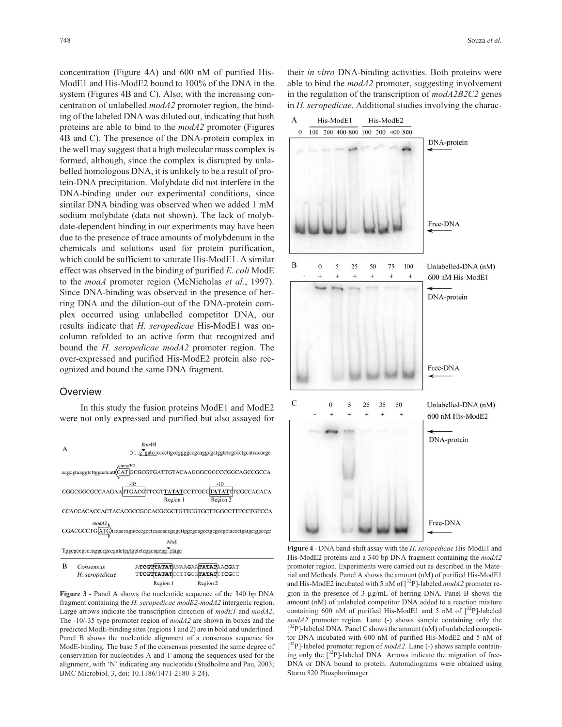concentration (Figure 4A) and 600 nM of purified His-ModE1 and His-ModE2 bound to 100% of the DNA in the system (Figures 4B and C). Also, with the increasing concentration of unlabelled *modA2* promoter region, the binding of the labeled DNA was diluted out, indicating that both proteins are able to bind to the *modA2* promoter (Figures 4B and C). The presence of the DNA-protein complex in the well may suggest that a high molecular mass complex is formed, although, since the complex is disrupted by unlabelled homologous DNA, it is unlikely to be a result of protein-DNA precipitation. Molybdate did not interfere in the DNA-binding under our experimental conditions, since similar DNA binding was observed when we added 1 mM sodium molybdate (data not shown). The lack of molybdate-dependent binding in our experiments may have been due to the presence of trace amounts of molybdenum in the chemicals and solutions used for protein purification, which could be sufficient to saturate His-ModE1. A similar effect was observed in the binding of purified *E. coli* ModE to the *moaA* promoter region (McNicholas *et al.*, 1997). Since DNA-binding was observed in the presence of herring DNA and the dilution-out of the DNA-protein complex occurred using unlabelled competitor DNA, our results indicate that *H. seropedicae* His-ModE1 was oncolumn refolded to an active form that recognized and bound the *H. seropedicae modA2* promoter region. The over-expressed and purified His-ModE2 protein also recognized and bound the same DNA fragment.

#### Overview

In this study the fusion proteins ModE1 and ModE2 were not only expressed and purified but also assayed for





**Figure 3** - Panel A shows the nucleotide sequence of the 340 bp DNA fragment containing the *H. seropedicae modE2*-*modA2* intergenic region. Large arrows indicate the transcription direction of *modE1* and *modA2*. The -10/-35 type promoter region of *modA2* are shown in boxes and the predicted ModE-binding sites (regions 1 and 2) are in bold and underlined. Panel B shows the nucleotide alignment of a consensus sequence for ModE-binding. The base 5 of the consensus presented the same degree of conservation for nucleotides A and T among the sequences used for the alignment, with 'N' indicating any nucleotide (Studholme and Pau, 2003; BMC Microbiol. 3, doi: 10.1186/1471-2180-3-24).

their *in vitro* DNA-binding activities. Both proteins were able to bind the *modA2* promoter, suggesting involvement in the regulation of the transcription of *modA2B2C2* genes in *H. seropedicae*. Additional studies involving the charac-



**Figure 4** - DNA band-shift assay with the *H. seropedicae* His-ModE1 and His-ModE2 proteins and a 340 bp DNA fragment containing the *modA2* promoter region. Experiments were carried out as described in the Material and Methods. Panel A shows the amount (nM) of purified His-ModE1 and His-ModE2 incubated with 5 nM of  $\int^{32}P$ ]-labeled *modA2* promoter region in the presence of 3 μg/mL of herring DNA. Panel B shows the amount (nM) of unlabeled competitor DNA added to a reaction mixture containing 600 nM of purified His-ModE1 and 5 nM of  $[^{32}P]$ -labeled *modA2* promoter region. Lane (-) shows sample containing only the  $[^{32}P]$ -labeled DNA. Panel C shows the amount (nM) of unlabeled competitor DNA incubated with 600 nM of purified His-ModE2 and 5 nM of  $[^{32}P]$ -labeled promoter region of *modA2*. Lane (-) shows sample containing only the  $[^{32}P]$ -labeled DNA. Arrows indicate the migration of free-DNA or DNA bound to protein. Autoradiograms were obtained using Storm 820 Phosphorimager.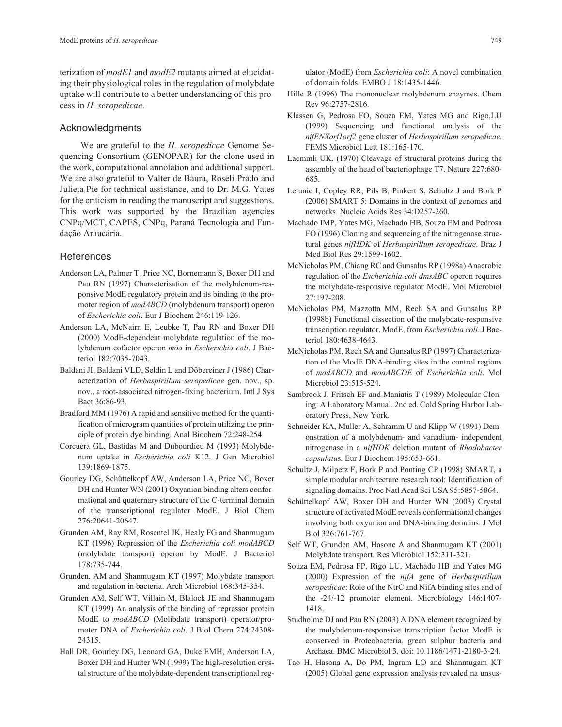terization of *modE1* and *modE2* mutants aimed at elucidating their physiological roles in the regulation of molybdate uptake will contribute to a better understanding of this process in *H. seropedicae*.

#### Acknowledgments

We are grateful to the *H. seropedicae* Genome Sequencing Consortium (GENOPAR) for the clone used in the work, computational annotation and additional support. We are also grateful to Valter de Baura, Roseli Prado and Julieta Pie for technical assistance, and to Dr. M.G. Yates for the criticism in reading the manuscript and suggestions. This work was supported by the Brazilian agencies CNPq/MCT, CAPES, CNPq, Paraná Tecnologia and Fundação Araucária.

## **References**

- Anderson LA, Palmer T, Price NC, Bornemann S, Boxer DH and Pau RN (1997) Characterisation of the molybdenum-responsive ModE regulatory protein and its binding to the promoter region of *modABCD* (molybdenum transport) operon of *Escherichia coli*. Eur J Biochem 246:119-126.
- Anderson LA, McNairn E, Leubke T, Pau RN and Boxer DH (2000) ModE-dependent molybdate regulation of the molybdenum cofactor operon *moa* in *Escherichia coli*. J Bacteriol 182:7035-7043.
- Baldani JI, Baldani VLD, Seldin L and Döbereiner J (1986) Characterization of *Herbaspirillum seropedicae* gen. nov., sp. nov., a root-associated nitrogen-fixing bacterium. Intl J Sys Bact 36:86-93.
- Bradford MM (1976) A rapid and sensitive method for the quantification of microgram quantities of protein utilizing the principle of protein dye binding. Anal Biochem 72:248-254.
- Corcuera GL, Bastidas M and Dubourdieu M (1993) Molybdenum uptake in *Escherichia coli* K12. J Gen Microbiol 139:1869-1875.
- Gourley DG, Schüttelkopf AW, Anderson LA, Price NC, Boxer DH and Hunter WN (2001) Oxyanion binding alters conformational and quaternary structure of the C-terminal domain of the transcriptional regulator ModE. J Biol Chem 276:20641-20647.
- Grunden AM, Ray RM, Rosentel JK, Healy FG and Shanmugam KT (1996) Repression of the *Escherichia coli modABCD* (molybdate transport) operon by ModE. J Bacteriol 178:735-744.
- Grunden, AM and Shanmugam KT (1997) Molybdate transport and regulation in bacteria. Arch Microbiol 168:345-354.
- Grunden AM, Self WT, Villain M, Blalock JE and Shanmugam KT (1999) An analysis of the binding of repressor protein ModE to *modABCD* (Molibdate transport) operator/promoter DNA of *Escherichia coli*. J Biol Chem 274:24308- 24315.
- Hall DR, Gourley DG, Leonard GA, Duke EMH, Anderson LA, Boxer DH and Hunter WN (1999) The high-resolution crystal structure of the molybdate-dependent transcriptional reg-

ulator (ModE) from *Escherichia coli*: A novel combination of domain folds. EMBO J 18:1435-1446.

- Hille R (1996) The mononuclear molybdenum enzymes. Chem Rev 96:2757-2816.
- Klassen G, Pedrosa FO, Souza EM, Yates MG and Rigo,LU (1999) Sequencing and functional analysis of the *nifENXorf1orf2* gene cluster of *Herbaspirillum seropedicae*. FEMS Microbiol Lett 181:165-170.
- Laemmli UK. (1970) Cleavage of structural proteins during the assembly of the head of bacteriophage T7. Nature 227:680- 685.
- Letunic I, Copley RR, Pils B, Pinkert S, Schultz J and Bork P (2006) SMART 5: Domains in the context of genomes and networks. Nucleic Acids Res 34:D257-260.
- Machado IMP, Yates MG, Machado HB, Souza EM and Pedrosa FO (1996) Cloning and sequencing of the nitrogenase structural genes *nifHDK* of *Herbaspirillum seropedicae*. Braz J Med Biol Res 29:1599-1602.
- McNicholas PM, Chiang RC and Gunsalus RP (1998a) Anaerobic regulation of the *Escherichia coli dmsABC* operon requires the molybdate-responsive regulator ModE. Mol Microbiol 27:197-208.
- McNicholas PM, Mazzotta MM, Rech SA and Gunsalus RP (1998b) Functional dissection of the molybdate-responsive transcription regulator, ModE, from *Escherichia coli*. J Bacteriol 180:4638-4643.
- McNicholas PM, Rech SA and Gunsalus RP (1997) Characterization of the ModE DNA-binding sites in the control regions of *modABCD* and *moaABCDE* of *Escherichia coli*. Mol Microbiol 23:515-524.
- Sambrook J, Fritsch EF and Maniatis T (1989) Molecular Cloning: A Laboratory Manual. 2nd ed. Cold Spring Harbor Laboratory Press, New York.
- Schneider KA, Muller A, Schramm U and Klipp W (1991) Demonstration of a molybdenum- and vanadium- independent nitrogenase in a *nifHDK* deletion mutant of *Rhodobacter capsulatu*s. Eur J Biochem 195:653-661.
- Schultz J, Milpetz F, Bork P and Ponting CP (1998) SMART, a simple modular architecture research tool: Identification of signaling domains. Proc Natl Acad Sci USA 95:5857-5864.
- Schüttelkopf AW, Boxer DH and Hunter WN (2003) Crystal structure of activated ModE reveals conformational changes involving both oxyanion and DNA-binding domains. J Mol Biol 326:761-767.
- Self WT, Grunden AM, Hasone A and Shanmugam KT (2001) Molybdate transport. Res Microbiol 152:311-321.
- Souza EM, Pedrosa FP, Rigo LU, Machado HB and Yates MG (2000) Expression of the *nifA* gene of *Herbaspirillum seropedicae*: Role of the NtrC and NifA binding sites and of the -24/-12 promoter element. Microbiology 146:1407- 1418.
- Studholme DJ and Pau RN (2003) A DNA element recognized by the molybdenum-responsive transcription factor ModE is conserved in Proteobacteria, green sulphur bacteria and Archaea. BMC Microbiol 3, doi: 10.1186/1471-2180-3-24.
- Tao H, Hasona A, Do PM, Ingram LO and Shanmugam KT (2005) Global gene expression analysis revealed na unsus-